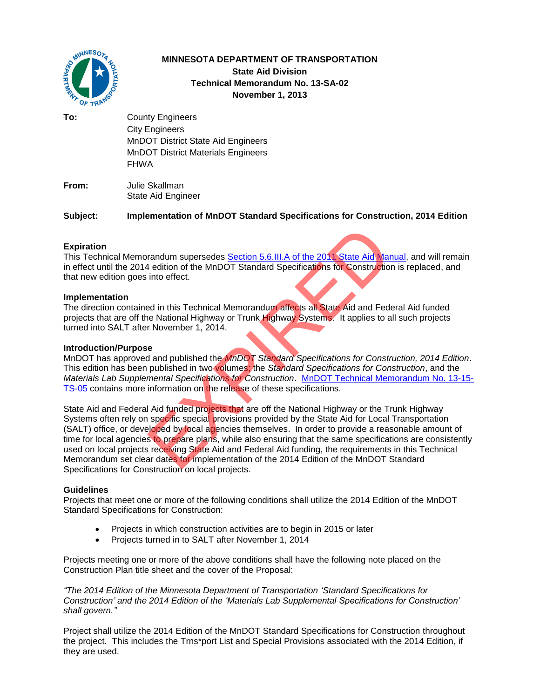

# **MINNESOTA DEPARTMENT OF TRANSPORTATION State Aid Division Technical Memorandum No. 13-SA-02 November 1, 2013**

**To:** County Engineers City Engineers MnDOT District State Aid Engineers MnDOT District Materials Engineers FHWA

**From:** Julie Skallman State Aid Engineer

**Subject: Implementation of MnDOT Standard Specifications for Construction, 2014 Edition** 

## **Expiration**

This Technical Memorandum supersedes Section 5.6.III.A of the 2011 State Aid Manual, and will remain in effect until the 2014 edition of the MnDOT Standard Specifications for Construction is replaced, and that new edition goes into effect.

### **Implementation**

The direction contained in this Technical Memorandum affects all State Aid and Federal Aid funded projects that are off the National Highway or Trunk Highway Systems. It applies to all such projects turned into SALT after November 1, 2014.

#### **Introduction/Purpose**

MnDOT has approved and published the *MnDOT Standard Specifications for Construction, 2014 Edition*. This edition has been published in two volumes; the *Standard Specifications for Construction*, and the *Materials Lab Supplemental Specifications for Construction*. [MnDOT Technical Memorandum No. 13-15-](http://dotapp7.dot.state.mn.us/edms/download?docId=1356934) [TS-05](http://dotapp7.dot.state.mn.us/edms/download?docId=1356934) contains more information on the release of these specifications.

State Aid and Federal Aid funded projects that are off the National Highway or the Trunk Highway Systems often rely on specific special provisions provided by the State Aid for Local Transportation (SALT) office, or developed by local agencies themselves. In order to provide a reasonable amount of time for local agencies to prepare plans, while also ensuring that the same specifications are consistently used on local projects receiving State Aid and Federal Aid funding, the requirements in this Technical Memorandum set clear dates for implementation of the 2014 Edition of the MnDOT Standard Specifications for Construction on local projects. randum supersedes Section 5.6.III.A of the 2011 State Aid Mar<br>
4 edition of the MnDOT Standard Specifications for Construction<br>
into effect.<br>
Ed in this Technical Memorandum affects all State Aid and Fed<br>
1 ed in this Tech

## **Guidelines**

Projects that meet one or more of the following conditions shall utilize the 2014 Edition of the MnDOT Standard Specifications for Construction:

- Projects in which construction activities are to begin in 2015 or later
- Projects turned in to SALT after November 1, 2014

Projects meeting one or more of the above conditions shall have the following note placed on the Construction Plan title sheet and the cover of the Proposal:

*"The 2014 Edition of the Minnesota Department of Transportation 'Standard Specifications for Construction' and the 2014 Edition of the 'Materials Lab Supplemental Specifications for Construction' shall govern."*

Project shall utilize the 2014 Edition of the MnDOT Standard Specifications for Construction throughout the project. This includes the Trns\*port List and Special Provisions associated with the 2014 Edition, if they are used.